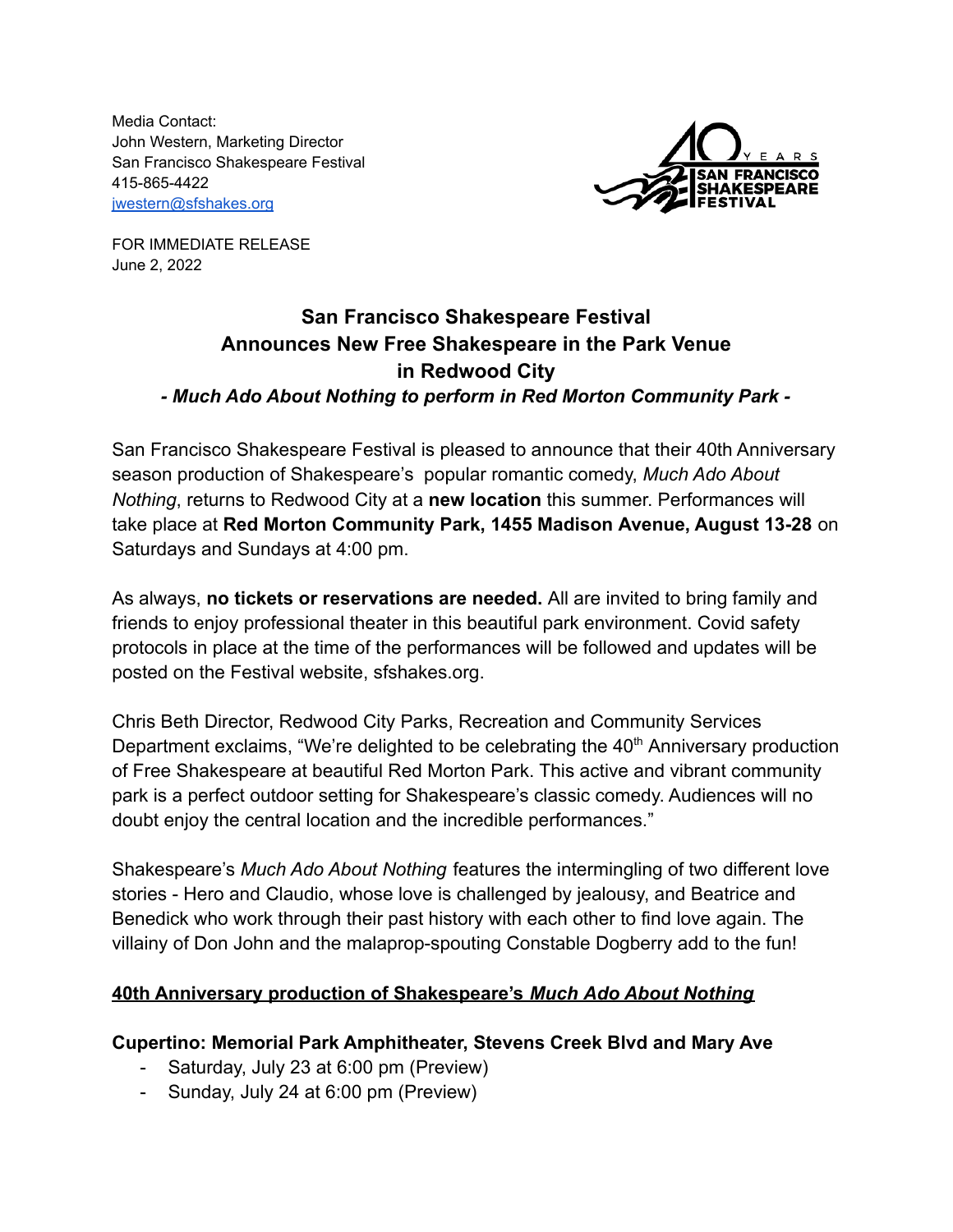Media Contact: John Western, Marketing Director San Francisco Shakespeare Festival 415-865-4422 [jwestern@sfshakes.org](mailto:jwestern@sfshakes.org)



FOR IMMEDIATE RELEASE June 2, 2022

# **San Francisco Shakespeare Festival Announces New Free Shakespeare in the Park Venue in Redwood City** *- Much Ado About Nothing to perform in Red Morton Community Park -*

San Francisco Shakespeare Festival is pleased to announce that their 40th Anniversary season production of Shakespeare's popular romantic comedy, *Much Ado About Nothing*, returns to Redwood City at a **new location** this summer. Performances will take place at **Red Morton Community Park, 1455 Madison Avenue, August 13-28** on Saturdays and Sundays at 4:00 pm.

As always, **no tickets or reservations are needed.** All are invited to bring family and friends to enjoy professional theater in this beautiful park environment. Covid safety protocols in place at the time of the performances will be followed and updates will be posted on the Festival website, sfshakes.org.

Chris Beth Director, Redwood City Parks, Recreation and Community Services Department exclaims, "We're delighted to be celebrating the  $40<sup>th</sup>$  Anniversary production of Free Shakespeare at beautiful Red Morton Park. This active and vibrant community park is a perfect outdoor setting for Shakespeare's classic comedy. Audiences will no doubt enjoy the central location and the incredible performances."

Shakespeare's *Much Ado About Nothing* features the intermingling of two different love stories - Hero and Claudio, whose love is challenged by jealousy, and Beatrice and Benedick who work through their past history with each other to find love again. The villainy of Don John and the malaprop-spouting Constable Dogberry add to the fun!

## **40th Anniversary production of Shakespeare's** *Much Ado About Nothing*

## **Cupertino: Memorial Park Amphitheater, Stevens Creek Blvd and Mary Ave**

- Saturday, July 23 at 6:00 pm (Preview)
- Sunday, July 24 at 6:00 pm (Preview)